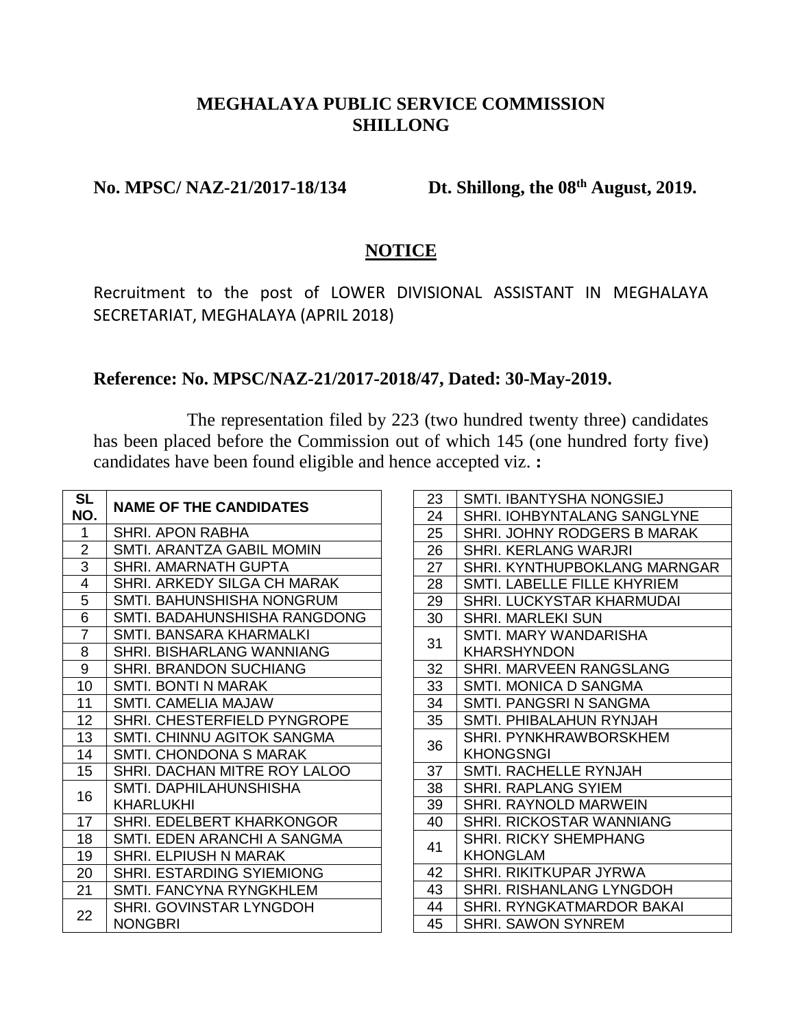## **MEGHALAYA PUBLIC SERVICE COMMISSION SHILLONG**

### **No. MPSC/<sub>NAZ-21/2017-18/134**</sub>

## Dt. Shillong, the 08<sup>th</sup> August, 2019.

#### **NOTICE**

Recruitment to the post of LOWER DIVISIONAL ASSISTANT IN MEGHALAYA SECRETARIAT, MEGHALAYA (APRIL 2018)

#### **Reference: No. MPSC/NAZ-21/2017-2018/47, Dated: 30-May-2019.**

The representation filed by 223 (two hundred twenty three) candidates has been placed before the Commission out of which 145 (one hundred forty five) candidates have been found eligible and hence accepted viz. **:**

| <b>SL</b><br>NO. | <b>NAME OF THE CANDIDATES</b>             |
|------------------|-------------------------------------------|
| 1                | SHRI. APON RABHA                          |
| $\overline{2}$   | SMTI. ARANTZA GABIL MOMIN                 |
| 3                | SHRI. AMARNATH GUPTA                      |
| 4                | SHRI. ARKEDY SILGA CH MARAK               |
| 5                | SMTI. BAHUNSHISHA NONGRUM                 |
| $\overline{6}$   | SMTI. BADAHUNSHISHA RANGDONG              |
| $\overline{7}$   | SMTI. BANSARA KHARMALKI                   |
| 8                | <b>SHRI. BISHARLANG WANNIANG</b>          |
| 9                | <b>SHRI. BRANDON SUCHIANG</b>             |
| 10               | SMTI. BONTI N MARAK                       |
| 11               | SMTI. CAMELIA MAJAW                       |
| 12               | SHRI. CHESTERFIELD PYNGROPE               |
| 13               | SMTI. CHINNU AGITOK SANGMA                |
| 14               | SMTI. CHONDONA S MARAK                    |
| 15               | SHRI. DACHAN MITRE ROY LALOO              |
| 16               | SMTI. DAPHILAHUNSHISHA                    |
|                  | KHARLUKHI                                 |
| 17               | SHRI. EDELBERT KHARKONGOR                 |
| 18               | SMTI. EDEN ARANCHI A SANGMA               |
| 19               | SHRI. ELPIUSH N MARAK                     |
| 20               | <b>SHRI. ESTARDING SYIEMIONG</b>          |
| 21               | SMTI. FANCYNA RYNGKHLEM                   |
| 22               | SHRI. GOVINSTAR LYNGDOH<br><b>NONGBRI</b> |

| 23 | SMTI. IBANTYSHA NONGSIEJ        |
|----|---------------------------------|
| 24 | SHRI. IOHBYNTALANG SANGLYNE     |
| 25 | SHRI. JOHNY RODGERS B MARAK     |
| 26 | SHRI, KERLANG WARJRI            |
| 27 | SHRI. KYNTHUPBOKLANG MARNGAR    |
| 28 | SMTI. LABELLE FILLE KHYRIEM     |
| 29 | SHRI. LUCKYSTAR KHARMUDAI       |
| 30 | SHRI. MARLEKI SUN               |
| 31 | SMTI. MARY WANDARISHA           |
|    | KHARSHYNDON                     |
| 32 | <b>SHRI. MARVEEN RANGSLANG</b>  |
| 33 | SMTI. MONICA D SANGMA           |
| 34 | SMTI. PANGSRI N SANGMA          |
| 35 | SMTI, PHIBALAHUN RYNJAH         |
| 36 | SHRI PYNKHRAWBORSKHFM           |
|    | <b>KHONGSNGI</b>                |
| 37 | SMTI. RACHELLE RYNJAH           |
| 38 | SHRI. RAPLANG SYIEM             |
| 39 | SHRI. RAYNOLD MARWEIN           |
| 40 | SHRI. RICKOSTAR WANNIANG        |
| 41 | <b>SHRI. RICKY SHEMPHANG</b>    |
|    | <b>KHONGLAM</b>                 |
| 42 | SHRI. RIKITKUPAR JYRWA          |
| 43 | <b>SHRI. RISHANLANG LYNGDOH</b> |
| 44 | SHRI. RYNGKATMARDOR BAKAI       |
| 45 | SHRI. SAWON SYNREM              |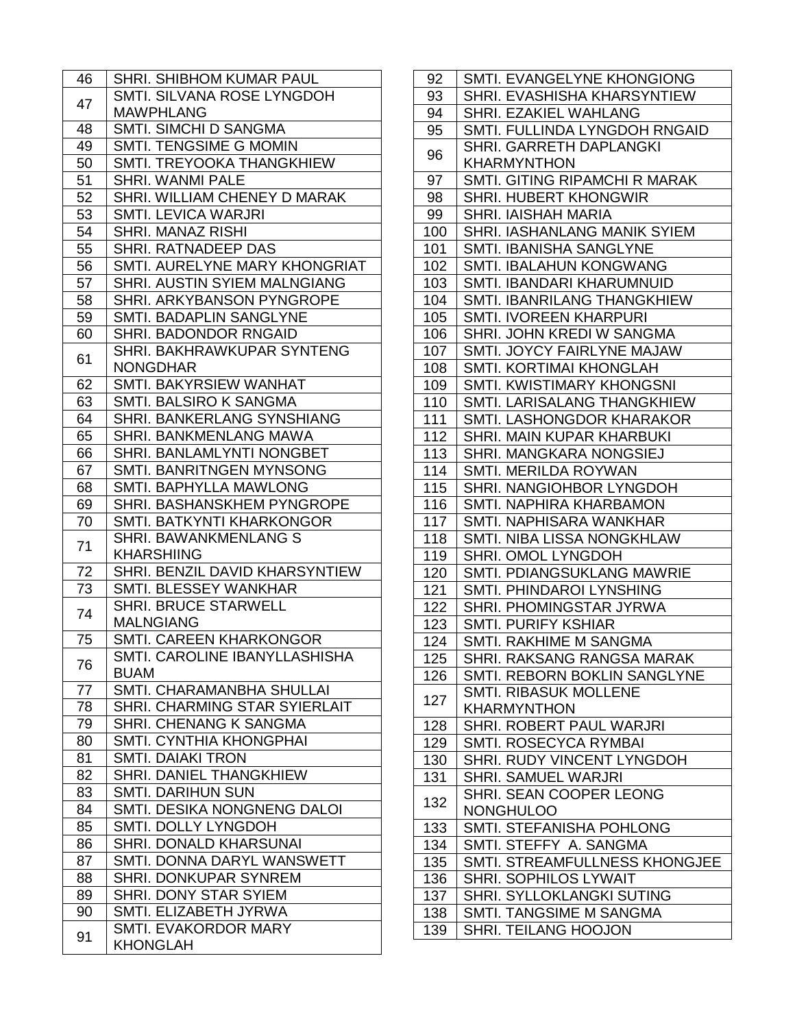| 46 | SHRI. SHIBHOM KUMAR PAUL            |
|----|-------------------------------------|
| 47 | SMTI. SILVANA ROSE LYNGDOH          |
|    | <b>MAWPHLANG</b>                    |
| 48 | SMTI. SIMCHI D SANGMA               |
| 49 | SMTI. TENGSIME G MOMIN              |
| 50 | SMTI. TREYOOKA THANGKHIEW           |
| 51 | <b>SHRI. WANMI PALE</b>             |
| 52 | SHRI. WILLIAM CHENEY D MARAK        |
| 53 | <b>SMTI. LEVICA WARJRI</b>          |
| 54 | SHRI. MANAZ RISHI                   |
| 55 | <b>SHRI. RATNADEEP DAS</b>          |
| 56 | SMTI. AURELYNE MARY KHONGRIAT       |
| 57 | <b>SHRI. AUSTIN SYIEM MALNGIANG</b> |
| 58 | <b>SHRI. ARKYBANSON PYNGROPE</b>    |
| 59 | <b>SMTI. BADAPLIN SANGLYNE</b>      |
| 60 | SHRI. BADONDOR RNGAID               |
|    | SHRI. BAKHRAWKUPAR SYNTENG          |
| 61 | <b>NONGDHAR</b>                     |
| 62 | SMTI. BAKYRSIEW WANHAT              |
| 63 | SMTI. BALSIRO K SANGMA              |
| 64 | SHRI. BANKERLANG SYNSHIANG          |
| 65 | <b>SHRI. BANKMENLANG MAWA</b>       |
| 66 | SHRI. BANLAMLYNTI NONGBET           |
| 67 | <b>SMTI. BANRITNGEN MYNSONG</b>     |
| 68 | <b>SMTI. BAPHYLLA MAWLONG</b>       |
| 69 | SHRI. BASHANSKHEM PYNGROPE          |
| 70 | SMTI. BATKYNTI KHARKONGOR           |
|    |                                     |
|    | SHRI. BAWANKMENLANG S               |
| 71 | <b>KHARSHIING</b>                   |
| 72 | SHRI. BENZIL DAVID KHARSYNTIEW      |
| 73 | SMTI. BLESSEY WANKHAR               |
|    | <b>SHRI. BRUCE STARWELL</b>         |
| 74 | <b>MALNGIANG</b>                    |
| 75 | <b>SMTI. CAREEN KHARKONGOR</b>      |
|    | SMTI. CAROLINE IBANYLLASHISHA       |
| 76 | <b>BUAM</b>                         |
| 77 | SMTI. CHARAMANBHA SHULLAI           |
| 78 | SHRI. CHARMING STAR SYIERLAIT       |
| 79 | SHRI. CHENANG K SANGMA              |
| 80 | <b>SMTI. CYNTHIA KHONGPHAI</b>      |
| 81 | <b>SMTI. DAIAKI TRON</b>            |
| 82 | SHRI. DANIEL THANGKHIEW             |
| 83 | <b>SMTI. DARIHUN SUN</b>            |
| 84 | SMTI. DESIKA NONGNENG DALOI         |
| 85 | SMTI. DOLLY LYNGDOH                 |
| 86 | <b>SHRI. DONALD KHARSUNAI</b>       |
| 87 | SMTI. DONNA DARYL WANSWETT          |
| 88 | SHRI. DONKUPAR SYNREM               |
| 89 | SHRI. DONY STAR SYIEM               |
| 90 | SMTI. ELIZABETH JYRWA               |
| 91 | <b>SMTI. EVAKORDOR MARY</b>         |

| 92  | SMTI. EVANGELYNE KHONGIONG                    |
|-----|-----------------------------------------------|
| 93  | <b>SHRI. EVASHISHA KHARSYNTIEW</b>            |
| 94  | SHRI. EZAKIEL WAHLANG                         |
| 95  | SMTI. FULLINDA LYNGDOH RNGAID                 |
| 96  | SHRI. GARRETH DAPLANGKI<br><b>KHARMYNTHON</b> |
| 97  | SMTI. GITING RIPAMCHI R MARAK                 |
| 98  | SHRI. HUBERT KHONGWIR                         |
| 99  | <b>SHRI. IAISHAH MARIA</b>                    |
| 100 | <b>SHRI. IASHANLANG MANIK SYIEM</b>           |
| 101 | <b>SMTI. IBANISHA SANGLYNE</b>                |
| 102 | <b>SMTI. IBALAHUN KONGWANG</b>                |
| 103 | SMTI. IBANDARI KHARUMNUID                     |
| 104 | SMTI. IBANRILANG THANGKHIEW                   |
| 105 | <b>SMTI. IVOREEN KHARPURI</b>                 |
| 106 | SHRI. JOHN KREDI W SANGMA                     |
| 107 | SMTI. JOYCY FAIRLYNE MAJAW                    |
| 108 | SMTI. KORTIMAI KHONGLAH                       |
| 109 | <b>SMTI. KWISTIMARY KHONGSNI</b>              |
| 110 | SMTI. LARISALANG THANGKHIEW                   |
| 111 | SMTI. LASHONGDOR KHARAKOR                     |
| 112 | SHRI. MAIN KUPAR KHARBUKI                     |
| 113 | <b>SHRI. MANGKARA NONGSIEJ</b>                |
| 114 | SMTI. MERILDA ROYWAN                          |
| 115 | SHRI. NANGIOHBOR LYNGDOH                      |
| 116 | SMTI. NAPHIRA KHARBAMON                       |
| 117 | SMTI. NAPHISARA WANKHAR                       |
| 118 | SMTI. NIBA LISSA NONGKHLAW                    |
| 119 | <b>SHRI. OMOL LYNGDOH</b>                     |
| 120 | <b>SMTI. PDIANGSUKLANG MAWRIE</b>             |
|     |                                               |
| 121 | SMTI. PHINDAROI LYNSHING                      |
| 122 | <b>SHRI. PHOMINGSTAR JYRWA</b>                |
| 123 | <b>SMTI. PURIFY KSHIAR</b>                    |
| 124 | SMTI. RAKHIME M SANGMA                        |
| 125 | SHRI. RAKSANG RANGSA MARAK                    |
| 126 | SMTI. REBORN BOKLIN SANGLYNE                  |
| 127 | <b>SMTI. RIBASUK MOLLENE</b>                  |
|     | <b>KHARMYNTHON</b>                            |
| 128 | SHRI. ROBERT PAUL WARJRI                      |
| 129 | SMTI. ROSECYCA RYMBAI                         |
| 130 | SHRI. RUDY VINCENT LYNGDOH                    |
| 131 | SHRI. SAMUEL WARJRI                           |
| 132 | SHRI. SEAN COOPER LEONG                       |
|     | <b>NONGHULOO</b>                              |
| 133 | SMTI. STEFANISHA POHLONG                      |
| 134 | SMTI. STEFFY A. SANGMA                        |
| 135 | SMTI. STREAMFULLNESS KHONGJEE                 |
| 136 | SHRI. SOPHILOS LYWAIT                         |
| 137 | <b>SHRI. SYLLOKLANGKI SUTING</b>              |
| 138 | SMTI. TANGSIME M SANGMA                       |
| 139 | SHRI. TEILANG HOOJON                          |